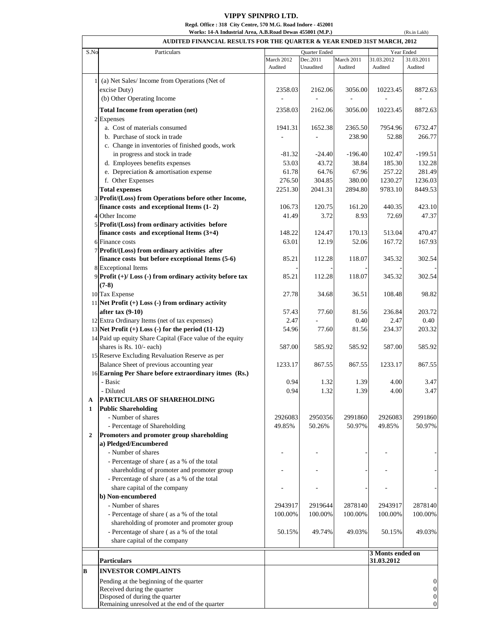## **VIPPY SPINPRO LTD. Regd. Office : 318 City Centre, 570 M.G. Road Indore - 452001 Works: 14-A Industrial Area, A.B.Road Dewas 455001 (M.P.)**

|                   | Works: 14-A Industrial Area, A.B.Road Dewas 455001 (M.P.)                                          |                       |                       |                       |                                | (Rs.in Lakh)          |
|-------------------|----------------------------------------------------------------------------------------------------|-----------------------|-----------------------|-----------------------|--------------------------------|-----------------------|
|                   | AUDITED FINANCIAL RESULTS FOR THE QUARTER & YEAR ENDED 31ST MARCH, 2012                            |                       |                       |                       |                                |                       |
| S.No              | Particulars                                                                                        |                       | Quarter Ended         |                       |                                | Year Ended            |
|                   |                                                                                                    | March 2012<br>Audited | Dec.2011<br>Unaudited | March 2011<br>Audited | 31.03.2012<br>Audited          | 31.03.2011<br>Audited |
|                   | (a) Net Sales/ Income from Operations (Net of                                                      |                       |                       |                       |                                |                       |
|                   | excise Duty)                                                                                       | 2358.03               | 2162.06               | 3056.00               | 10223.45                       | 8872.63               |
|                   | (b) Other Operating Income                                                                         |                       |                       |                       |                                |                       |
|                   | Total Income from operation (net)                                                                  | 2358.03               | 2162.06               | 3056.00               | 10223.45                       | 8872.63               |
|                   | 2 Expenses                                                                                         |                       |                       |                       |                                |                       |
|                   | a. Cost of materials consumed                                                                      | 1941.31               | 1652.38               | 2365.50               | 7954.96                        | 6732.47               |
|                   | b. Purchase of stock in trade                                                                      |                       |                       | 238.90                | 52.88                          | 266.77                |
|                   | c. Change in inventories of finished goods, work<br>in progress and stock in trade                 | $-81.32$              | $-24.40$              | $-196.40$             | 102.47                         | $-199.51$             |
|                   | d. Employees benefits expenses                                                                     | 53.03                 | 43.72                 | 38.84                 | 185.30                         | 132.28                |
|                   | e. Depreciation & amortisation expense                                                             | 61.78                 | 64.76                 | 67.96                 | 257.22                         | 281.49                |
|                   | f. Other Expenses                                                                                  | 276.50                | 304.85                | 380.00                | 1230.27                        | 1236.03               |
|                   | <b>Total expenses</b>                                                                              | 2251.30               | 2041.31               | 2894.80               | 9783.10                        | 8449.53               |
|                   | 3 Profit/(Loss) from Operations before other Income,                                               |                       |                       |                       |                                |                       |
|                   | finance costs and exceptional Items $(1-2)$                                                        | 106.73                | 120.75                | 161.20                | 440.35                         | 423.10                |
|                   | 4 Other Income                                                                                     | 41.49                 | 3.72                  | 8.93                  | 72.69                          | 47.37                 |
|                   | 5 Profit/(Loss) from ordinary activities before                                                    |                       |                       |                       |                                |                       |
|                   | finance costs and exceptional Items $(3+4)$                                                        | 148.22                | 124.47                | 170.13                | 513.04                         | 470.47                |
|                   | 6 Finance costs                                                                                    | 63.01                 | 12.19                 | 52.06                 | 167.72                         | 167.93                |
|                   | 7 Profit/(Loss) from ordinary activities after<br>finance costs but before exceptional Items (5-6) | 85.21                 | 112.28                | 118.07                | 345.32                         | 302.54                |
|                   | 8 Exceptional Items                                                                                |                       |                       |                       |                                |                       |
|                   | $9$ Profit (+)/Loss (-) from ordinary activity before tax<br>$(7-8)$                               | 85.21                 | 112.28                | 118.07                | 345.32                         | 302.54                |
|                   | 10 Tax Expense                                                                                     | 27.78                 | 34.68                 | 36.51                 | 108.48                         | 98.82                 |
|                   | 11 Net Profit $(+)$ Loss $(-)$ from ordinary activity                                              |                       |                       |                       |                                |                       |
|                   | after $\text{tax}(9-10)$                                                                           | 57.43                 | 77.60                 | 81.56                 | 236.84                         | 203.72                |
|                   | 12 Extra Ordinary Items (net of tax expenses)                                                      | 2.47                  |                       | 0.40                  | 2.47                           | 0.40                  |
|                   | 13 Net Profit $(+)$ Loss $(-)$ for the period $(11-12)$                                            | 54.96                 | 77.60                 | 81.56                 | 234.37                         | 203.32                |
|                   | 14 Paid up equity Share Capital (Face value of the equity<br>shares is Rs. 10/- each)              | 587.00                | 585.92                | 585.92                | 587.00                         | 585.92                |
|                   | 15 Reserve Excluding Revaluation Reserve as per                                                    |                       |                       |                       |                                |                       |
|                   | Balance Sheet of previous accounting year                                                          | 1233.17               | 867.55                | 867.55                | 1233.17                        | 867.55                |
|                   | 16 Earning Per Share before extraordinary itmes (Rs.)                                              |                       |                       |                       |                                |                       |
|                   | - Basic                                                                                            | 0.94                  | 1.32                  | 1.39                  | 4.00                           | 3.47                  |
|                   | - Diluted                                                                                          | 0.94                  | 1.32                  | 1.39                  | 4.00                           | 3.47                  |
| A<br>$\mathbf{1}$ | PARTICULARS OF SHAREHOLDING<br><b>Public Shareholding</b>                                          |                       |                       |                       |                                |                       |
|                   | - Number of shares                                                                                 | 2926083               | 2950356               | 2991860               | 2926083                        | 2991860               |
|                   | - Percentage of Shareholding                                                                       | 49.85%                | 50.26%                | 50.97%                | 49.85%                         | 50.97%                |
| $\mathbf{2}$      | Promoters and promoter group shareholding                                                          |                       |                       |                       |                                |                       |
|                   | a) Pledged/Encumbered                                                                              |                       |                       |                       |                                |                       |
|                   | - Number of shares                                                                                 |                       |                       |                       |                                |                       |
|                   | - Percentage of share (as a % of the total<br>shareholding of promoter and promoter group          |                       |                       |                       |                                |                       |
|                   | - Percentage of share (as a % of the total                                                         |                       |                       |                       |                                |                       |
|                   | share capital of the company                                                                       |                       |                       |                       |                                |                       |
|                   | b) Non-encumbered                                                                                  |                       |                       |                       |                                |                       |
|                   | - Number of shares                                                                                 | 2943917               | 2919644               | 2878140               | 2943917                        | 2878140               |
|                   | - Percentage of share (as a % of the total                                                         | 100.00%               | 100.00%               | 100.00%               | 100.00%                        | 100.00%               |
|                   | shareholding of promoter and promoter group                                                        |                       |                       |                       |                                |                       |
|                   | - Percentage of share (as a % of the total                                                         | 50.15%                | 49.74%                | 49.03%                | 50.15%                         | 49.03%                |
|                   | share capital of the company                                                                       |                       |                       |                       |                                |                       |
|                   | <b>Particulars</b>                                                                                 |                       |                       |                       | 3 Monts ended on<br>31.03.2012 |                       |
|                   |                                                                                                    |                       |                       |                       |                                |                       |
| B                 | <b>INVESTOR COMPLAINTS</b>                                                                         |                       |                       |                       |                                |                       |
|                   | Pending at the beginning of the quarter<br>Received during the quarter                             |                       |                       |                       |                                | 0<br>0                |
|                   | Disposed of during the quarter                                                                     |                       |                       |                       |                                | 0                     |
|                   | Remaining unresolved at the end of the quarter                                                     |                       |                       |                       |                                | $\overline{0}$        |